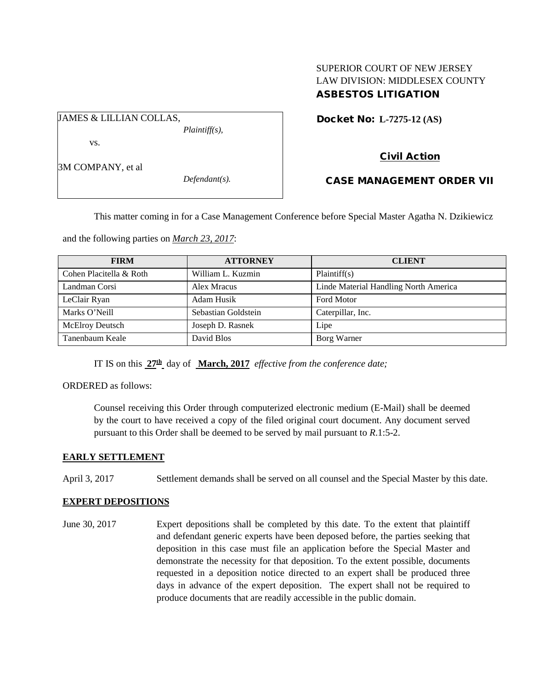## SUPERIOR COURT OF NEW JERSEY LAW DIVISION: MIDDLESEX COUNTY ASBESTOS LITIGATION

Docket No: **L-7275-12 (AS)** 

vs.

3M COMPANY, et al

JAMES & LILLIAN COLLAS,

*Defendant(s).*

*Plaintiff(s),*

Civil Action CASE MANAGEMENT ORDER VII

This matter coming in for a Case Management Conference before Special Master Agatha N. Dzikiewicz

and the following parties on *March 23, 2017*:

| <b>FIRM</b>             | <b>ATTORNEY</b>     | <b>CLIENT</b>                         |
|-------------------------|---------------------|---------------------------------------|
| Cohen Placitella & Roth | William L. Kuzmin   | Plaintiff(s)                          |
| Landman Corsi           | Alex Mracus         | Linde Material Handling North America |
| LeClair Ryan            | Adam Husik          | <b>Ford Motor</b>                     |
| Marks O'Neill           | Sebastian Goldstein | Caterpillar, Inc.                     |
| McElroy Deutsch         | Joseph D. Rasnek    | Lipe                                  |
| Tanenbaum Keale         | David Blos          | Borg Warner                           |

IT IS on this **27th** day of **March, 2017** *effective from the conference date;*

ORDERED as follows:

Counsel receiving this Order through computerized electronic medium (E-Mail) shall be deemed by the court to have received a copy of the filed original court document. Any document served pursuant to this Order shall be deemed to be served by mail pursuant to *R*.1:5-2.

## **EARLY SETTLEMENT**

April 3, 2017 Settlement demands shall be served on all counsel and the Special Master by this date.

## **EXPERT DEPOSITIONS**

June 30, 2017 Expert depositions shall be completed by this date. To the extent that plaintiff and defendant generic experts have been deposed before, the parties seeking that deposition in this case must file an application before the Special Master and demonstrate the necessity for that deposition. To the extent possible, documents requested in a deposition notice directed to an expert shall be produced three days in advance of the expert deposition. The expert shall not be required to produce documents that are readily accessible in the public domain.